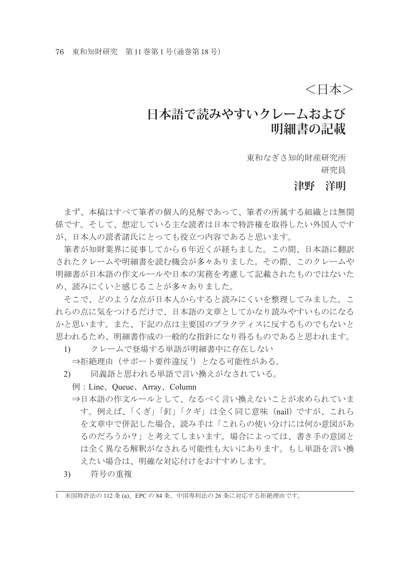## <日本>

## **日本語で読みやすいクレームおよび 明細書の記載**

東和なぎさ知的財産研究所 研究員

#### **津野 洋明**

 まず、本稿はすべて筆者の個人的見解であって、筆者の所属する組織とは無関 係です。そして、想定している主な読者は日本で特許権を取得したい外国人です が、日本人の読者諸氏にとっても役立つ内容であると思います。

 筆者が知財業界に従事してから6年近くが経ちました。この間、日本語に翻訳 されたクレームや明細書を読む機会が多々ありました。その際、このクレームや 明細書が日本語の作文ルールや日本の実務を考慮して記載されたものではないた め、読みにくいと感じることが多々ありました。

 そこで、どのような点が日本人からすると読みにくいを整理してみました。こ れらの点に気をつけるだけで、日本語の文章としてかなり読みやすいものになる かと思います。また、下記の点は主要国のプラクティスに反するものでもないと 思われるため、明細書作成の一般的な指針になり得るものであると思われます。

- 1) クレームで登場する単語が明細書中に存在しない
- ⇒拒絶理由(サポート要件違反 ')となる可能性がある。
	- 2) 同義語と思われる単語で言い換えがなされている。
		- 例:Line、Queue、Array、Column
		- ⇒日本語の作文ルールとして、なるべく言い換えないことが求められていま す。例えば、「くぎ」「釘」「クギ」は全く同じ意味 (nail) ですが、これら を文章中で併記した場合、読み手は「これらの使い分けには何か意図があ るのだろうか?」と考えてしまいます。場合によっては、書き手の意図と は全く異なる解釈がなされる可能性も大いにあります。もし単語を言い換 えたい場合は、明確な対応付けをおすすめします。
	- 3) 符号の重複

<sup>1</sup> 米国特許法の 112 条 (a)、EPC の 84 条、中国専利法の 26 条に対応する拒絶理由です。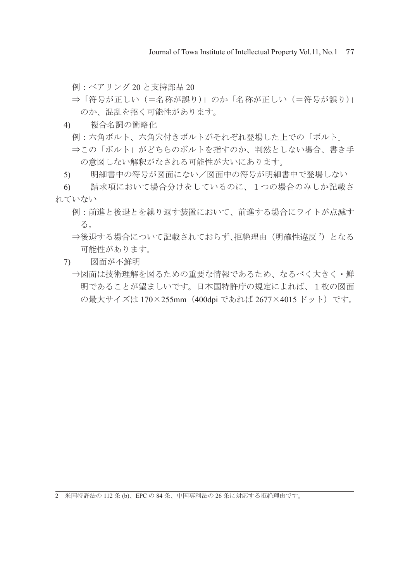Journal of Towa Institute of Intellectual Property Vol.11, No.1 77

例:ベアリング 20 と支持部品 20

- ⇒「符号が正しい(=名称が誤り)」のか「名称が正しい(=符号が誤り)」 のか、混乱を招く可能性があります。
- 4) 複合名詞の簡略化
	- 例:六角ボルト、六角穴付きボルトがそれぞれ登場した上での「ボルト」
	- ⇒この「ボルト」がどちらのボルトを指すのか、判然としない場合、書き手 の意図しない解釈がなされる可能性が大いにあります。
- 5) 明細書中の符号が図面にない/図面中の符号が明細書中で登場しない

6) 請求項において場合分けをしているのに、1つの場合のみしか記載さ れていない

- 例:前進と後退とを繰り返す装置において、前進する場合にライトが点滅す る。
- ⇒後退する場合について記載されておらず、拒絶理由(明確性違反<sup>2</sup>)となる 可能性があります。
- 7) 図面が不鮮明
	- ⇒図面は技術理解を図るための重要な情報であるため、なるべく大きく・鮮 明であることが望ましいです。日本国特許庁の規定によれば、1枚の図面 の最大サイズは 170×255mm(400dpi であれば 2677×4015 ドット)です。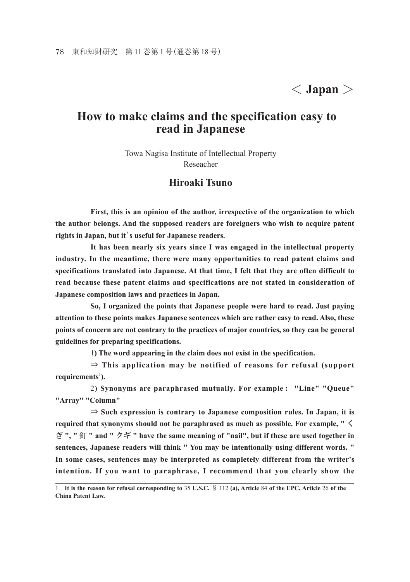# < **Japan** >

### **How to make claims and the specification easy to read in Japanese**

Towa Nagisa Institute of Intellectual Property Reseacher

#### **Hiroaki Tsuno**

 **First, this is an opinion of the author, irrespective of the organization to which the author belongs. And the supposed readers are foreigners who wish to acquire patent rights in Japan, but it**'**s useful for Japanese readers.**

 **It has been nearly six years since I was engaged in the intellectual property industry. In the meantime, there were many opportunities to read patent claims and specifications translated into Japanese. At that time, I felt that they are often difficult to read because these patent claims and specifications are not stated in consideration of Japanese composition laws and practices in Japan.**

 **So, I organized the points that Japanese people were hard to read. Just paying attention to these points makes Japanese sentences which are rather easy to read. Also, these points of concern are not contrary to the practices of major countries, so they can be general guidelines for preparing specifications.**

1**) The word appearing in the claim does not exist in the specification.**

⇒ **This application may be notified of reasons for refusal (support**  requirements<sup>1</sup>).

2**) Synonyms are paraphrased mutually. For example : "Line" "Queue" "Array" "Column"**

⇒ **Such expression is contrary to Japanese composition rules. In Japan, it is required that synonyms should not be paraphrased as much as possible. For example, "** く ぎ **", "** 釘 **" and "** クギ **" have the same meaning of "nail", but if these are used together in sentences, Japanese readers will think " You may be intentionally using different words. " In some cases, sentences may be interpreted as completely different from the writer's intention. If you want to paraphrase, I recommend that you clearly show the** 

<sup>1</sup> **It is the reason for refusal corresponding to** 35 **U.S.C.** § 112 **(a), Article** 84 **of the EPC, Article** 26 **of the China Patent Law.**